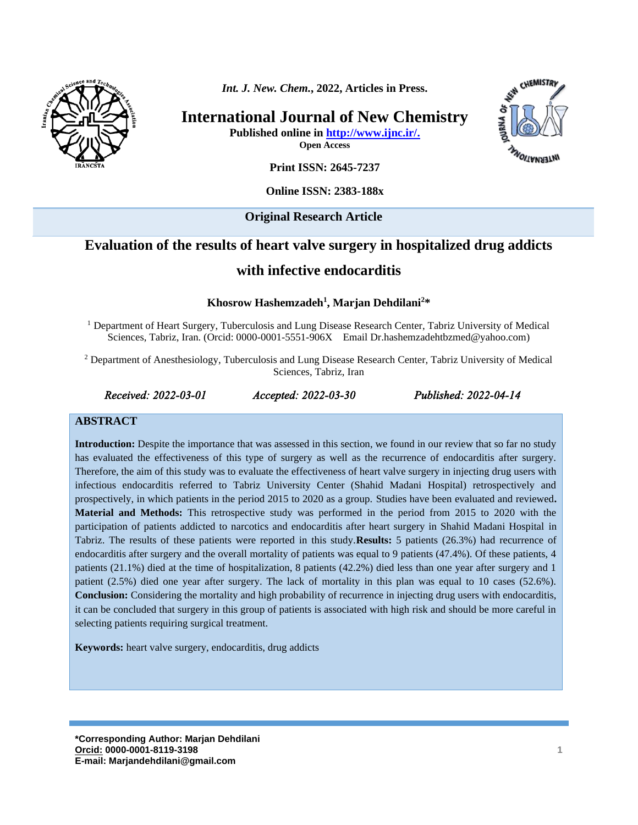

*Int. J. New. Chem.***, 2022, Articles in Press.**

**International Journal of New Chemistry**

**Published online in [http://www.ijnc.ir/.](http://www.ijnc.ir/)**

**Open Access**



**Print ISSN: 2645-7237**

### **Online ISSN: 2383-188x**

**Original Research Article** 

# **Evaluation of the results of heart valve surgery in hospitalized drug addicts**

## **with infective endocarditis**

### **Khosrow Hashemzadeh<sup>1</sup> , Marjan Dehdilani 2\***

<sup>1</sup> Department of Heart Surgery, Tuberculosis and Lung Disease Research Center, Tabriz University of Medical Sciences, Tabriz, Iran. (Orcid: 0000-0001-5551-906X Email [Dr.hashemzadehtbzmed@yahoo.com\)](mailto:Dr.hashemzadehtbzmed@yahoo.com)

<sup>2</sup> Department of Anesthesiology, Tuberculosis and Lung Disease Research Center, Tabriz University of Medical Sciences, Tabriz, Iran

*Received: 2022-03-01 Accepted: 2022-03-30 Published: 2022-04-14* 

#### **ABSTRACT**

**Introduction:** Despite the importance that was assessed in this section, we found in our review that so far no study has evaluated the effectiveness of this type of surgery as well as the recurrence of endocarditis after surgery. Therefore, the aim of this study was to evaluate the effectiveness of heart valve surgery in injecting drug users with infectious endocarditis referred to Tabriz University Center (Shahid Madani Hospital) retrospectively and prospectively, in which patients in the period 2015 to 2020 as a group. Studies have been evaluated and reviewed**. Material and Methods:** This retrospective study was performed in the period from 2015 to 2020 with the participation of patients addicted to narcotics and endocarditis after heart surgery in Shahid Madani Hospital in Tabriz. The results of these patients were reported in this study.**Results:** 5 patients (26.3%) had recurrence of endocarditis after surgery and the overall mortality of patients was equal to 9 patients (47.4%). Of these patients, 4 patients (21.1%) died at the time of hospitalization, 8 patients (42.2%) died less than one year after surgery and 1 patient (2.5%) died one year after surgery. The lack of mortality in this plan was equal to 10 cases (52.6%). **Conclusion:** Considering the mortality and high probability of recurrence in injecting drug users with endocarditis, it can be concluded that surgery in this group of patients is associated with high risk and should be more careful in selecting patients requiring surgical treatment.

**Keywords:** heart valve surgery, endocarditis, drug addicts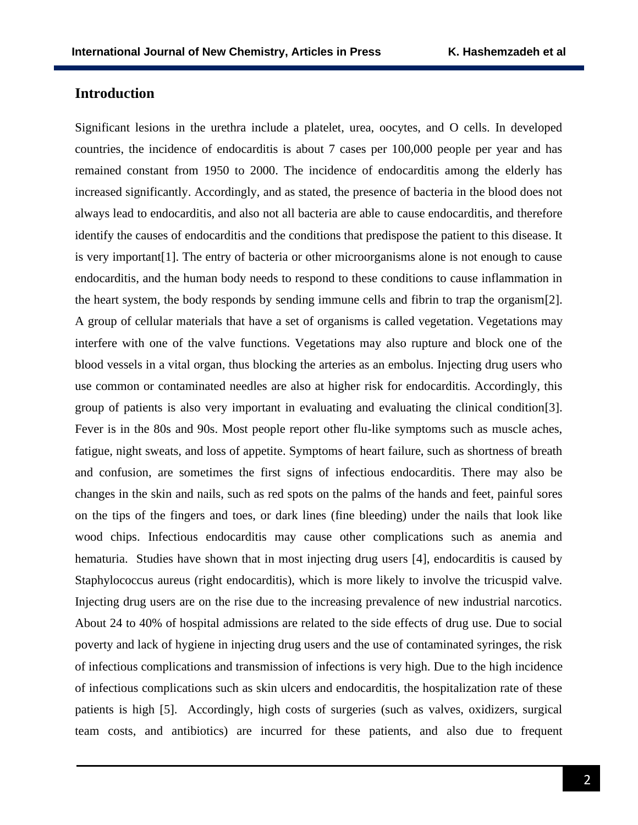## **Introduction**

Significant lesions in the urethra include a platelet, urea, oocytes, and O cells. In developed countries, the incidence of endocarditis is about 7 cases per 100,000 people per year and has remained constant from 1950 to 2000. The incidence of endocarditis among the elderly has increased significantly. Accordingly, and as stated, the presence of bacteria in the blood does not always lead to endocarditis, and also not all bacteria are able to cause endocarditis, and therefore identify the causes of endocarditis and the conditions that predispose the patient to this disease. It is very important[1]. The entry of bacteria or other microorganisms alone is not enough to cause endocarditis, and the human body needs to respond to these conditions to cause inflammation in the heart system, the body responds by sending immune cells and fibrin to trap the organism[2]. A group of cellular materials that have a set of organisms is called vegetation. Vegetations may interfere with one of the valve functions. Vegetations may also rupture and block one of the blood vessels in a vital organ, thus blocking the arteries as an embolus. Injecting drug users who use common or contaminated needles are also at higher risk for endocarditis. Accordingly, this group of patients is also very important in evaluating and evaluating the clinical condition[3]. Fever is in the 80s and 90s. Most people report other flu-like symptoms such as muscle aches, fatigue, night sweats, and loss of appetite. Symptoms of heart failure, such as shortness of breath and confusion, are sometimes the first signs of infectious endocarditis. There may also be changes in the skin and nails, such as red spots on the palms of the hands and feet, painful sores on the tips of the fingers and toes, or dark lines (fine bleeding) under the nails that look like wood chips. Infectious endocarditis may cause other complications such as anemia and hematuria. Studies have shown that in most injecting drug users [4], endocarditis is caused by Staphylococcus aureus (right endocarditis), which is more likely to involve the tricuspid valve. Injecting drug users are on the rise due to the increasing prevalence of new industrial narcotics. About 24 to 40% of hospital admissions are related to the side effects of drug use. Due to social poverty and lack of hygiene in injecting drug users and the use of contaminated syringes, the risk of infectious complications and transmission of infections is very high. Due to the high incidence of infectious complications such as skin ulcers and endocarditis, the hospitalization rate of these patients is high [5]. Accordingly, high costs of surgeries (such as valves, oxidizers, surgical team costs, and antibiotics) are incurred for these patients, and also due to frequent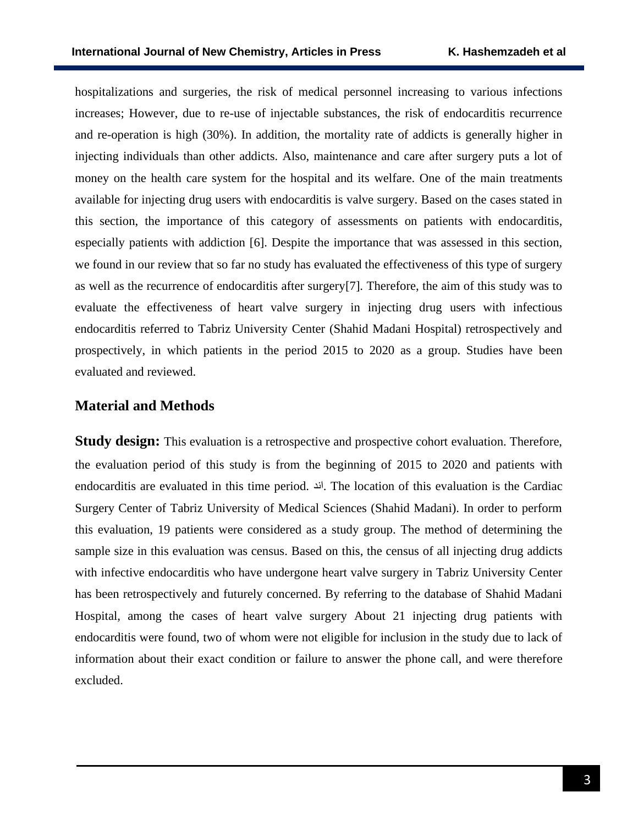hospitalizations and surgeries, the risk of medical personnel increasing to various infections increases; However, due to re-use of injectable substances, the risk of endocarditis recurrence and re-operation is high (30%). In addition, the mortality rate of addicts is generally higher in injecting individuals than other addicts. Also, maintenance and care after surgery puts a lot of money on the health care system for the hospital and its welfare. One of the main treatments available for injecting drug users with endocarditis is valve surgery. Based on the cases stated in this section, the importance of this category of assessments on patients with endocarditis, especially patients with addiction [6]. Despite the importance that was assessed in this section, we found in our review that so far no study has evaluated the effectiveness of this type of surgery as well as the recurrence of endocarditis after surgery[7]. Therefore, the aim of this study was to evaluate the effectiveness of heart valve surgery in injecting drug users with infectious endocarditis referred to Tabriz University Center (Shahid Madani Hospital) retrospectively and prospectively, in which patients in the period 2015 to 2020 as a group. Studies have been evaluated and reviewed.

## **Material and Methods**

**Study design:** This evaluation is a retrospective and prospective cohort evaluation. Therefore, the evaluation period of this study is from the beginning of 2015 to 2020 and patients with endocarditis are evaluated in this time period. اند. The location of this evaluation is the Cardiac Surgery Center of Tabriz University of Medical Sciences (Shahid Madani). In order to perform this evaluation, 19 patients were considered as a study group. The method of determining the sample size in this evaluation was census. Based on this, the census of all injecting drug addicts with infective endocarditis who have undergone heart valve surgery in Tabriz University Center has been retrospectively and futurely concerned. By referring to the database of Shahid Madani Hospital, among the cases of heart valve surgery About 21 injecting drug patients with endocarditis were found, two of whom were not eligible for inclusion in the study due to lack of information about their exact condition or failure to answer the phone call, and were therefore excluded.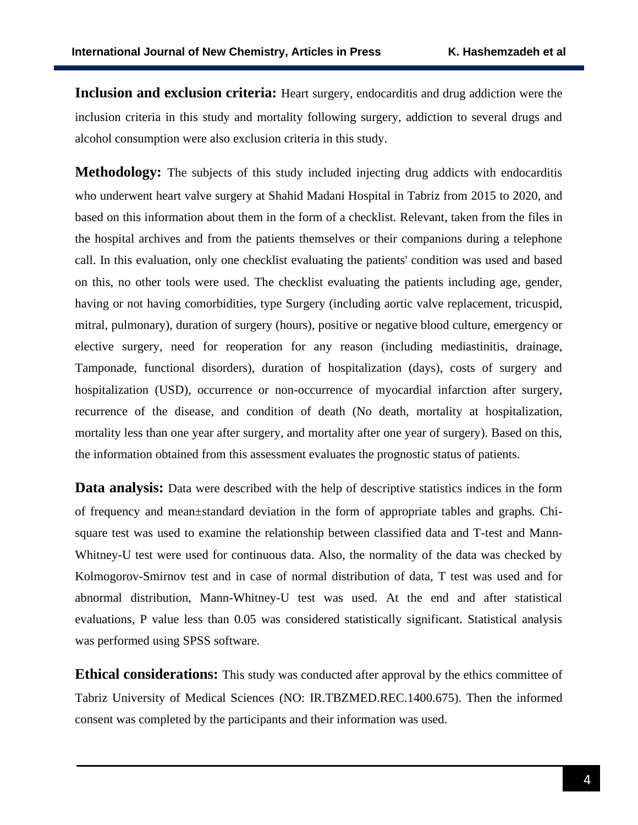**Inclusion and exclusion criteria:** Heart surgery, endocarditis and drug addiction were the inclusion criteria in this study and mortality following surgery, addiction to several drugs and alcohol consumption were also exclusion criteria in this study.

**Methodology:** The subjects of this study included injecting drug addicts with endocarditis who underwent heart valve surgery at Shahid Madani Hospital in Tabriz from 2015 to 2020, and based on this information about them in the form of a checklist. Relevant, taken from the files in the hospital archives and from the patients themselves or their companions during a telephone call. In this evaluation, only one checklist evaluating the patients' condition was used and based on this, no other tools were used. The checklist evaluating the patients including age, gender, having or not having comorbidities, type Surgery (including aortic valve replacement, tricuspid, mitral, pulmonary), duration of surgery (hours), positive or negative blood culture, emergency or elective surgery, need for reoperation for any reason (including mediastinitis, drainage, Tamponade, functional disorders), duration of hospitalization (days), costs of surgery and hospitalization (USD), occurrence or non-occurrence of myocardial infarction after surgery, recurrence of the disease, and condition of death (No death, mortality at hospitalization, mortality less than one year after surgery, and mortality after one year of surgery). Based on this, the information obtained from this assessment evaluates the prognostic status of patients.

**Data analysis:** Data were described with the help of descriptive statistics indices in the form of frequency and mean±standard deviation in the form of appropriate tables and graphs. Chisquare test was used to examine the relationship between classified data and T-test and Mann-Whitney-U test were used for continuous data. Also, the normality of the data was checked by Kolmogorov-Smirnov test and in case of normal distribution of data, T test was used and for abnormal distribution, Mann-Whitney-U test was used. At the end and after statistical evaluations, P value less than 0.05 was considered statistically significant. Statistical analysis was performed using SPSS software.

**Ethical considerations:** This study was conducted after approval by the ethics committee of Tabriz University of Medical Sciences (NO: [IR.TBZMED.REC.1400.675\)](http://ethics.research.ac.ir/IR.TBZMED.REC.1400.675). Then the informed consent was completed by the participants and their information was used.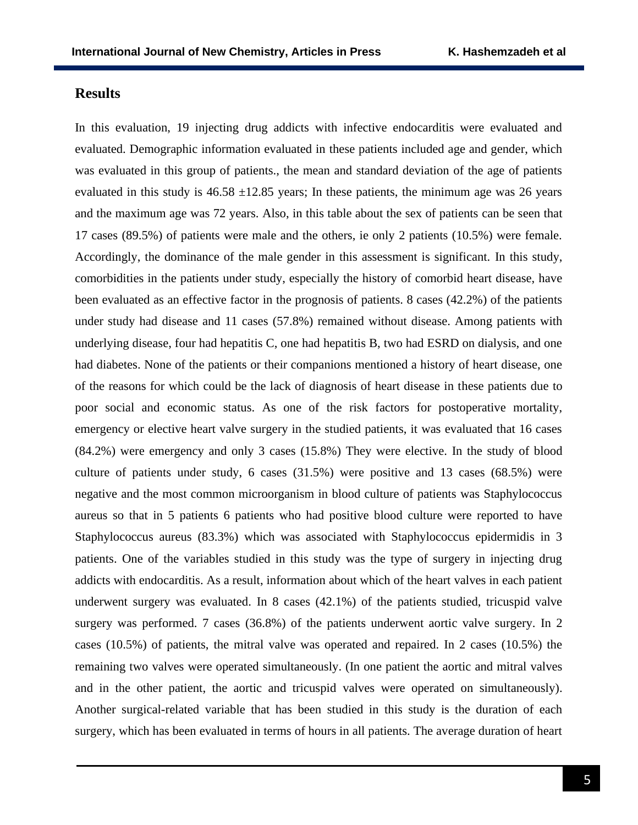## **Results**

In this evaluation, 19 injecting drug addicts with infective endocarditis were evaluated and evaluated. Demographic information evaluated in these patients included age and gender, which was evaluated in this group of patients., the mean and standard deviation of the age of patients evaluated in this study is  $46.58 \pm 12.85$  years; In these patients, the minimum age was 26 years and the maximum age was 72 years. Also, in this table about the sex of patients can be seen that 17 cases (89.5%) of patients were male and the others, ie only 2 patients (10.5%) were female. Accordingly, the dominance of the male gender in this assessment is significant. In this study, comorbidities in the patients under study, especially the history of comorbid heart disease, have been evaluated as an effective factor in the prognosis of patients. 8 cases (42.2%) of the patients under study had disease and 11 cases (57.8%) remained without disease. Among patients with underlying disease, four had hepatitis C, one had hepatitis B, two had ESRD on dialysis, and one had diabetes. None of the patients or their companions mentioned a history of heart disease, one of the reasons for which could be the lack of diagnosis of heart disease in these patients due to poor social and economic status. As one of the risk factors for postoperative mortality, emergency or elective heart valve surgery in the studied patients, it was evaluated that 16 cases (84.2%) were emergency and only 3 cases (15.8%) They were elective. In the study of blood culture of patients under study, 6 cases (31.5%) were positive and 13 cases (68.5%) were negative and the most common microorganism in blood culture of patients was Staphylococcus aureus so that in 5 patients 6 patients who had positive blood culture were reported to have Staphylococcus aureus (83.3%) which was associated with Staphylococcus epidermidis in 3 patients. One of the variables studied in this study was the type of surgery in injecting drug addicts with endocarditis. As a result, information about which of the heart valves in each patient underwent surgery was evaluated. In 8 cases (42.1%) of the patients studied, tricuspid valve surgery was performed. 7 cases (36.8%) of the patients underwent aortic valve surgery. In 2 cases (10.5%) of patients, the mitral valve was operated and repaired. In 2 cases (10.5%) the remaining two valves were operated simultaneously. (In one patient the aortic and mitral valves and in the other patient, the aortic and tricuspid valves were operated on simultaneously). Another surgical-related variable that has been studied in this study is the duration of each surgery, which has been evaluated in terms of hours in all patients. The average duration of heart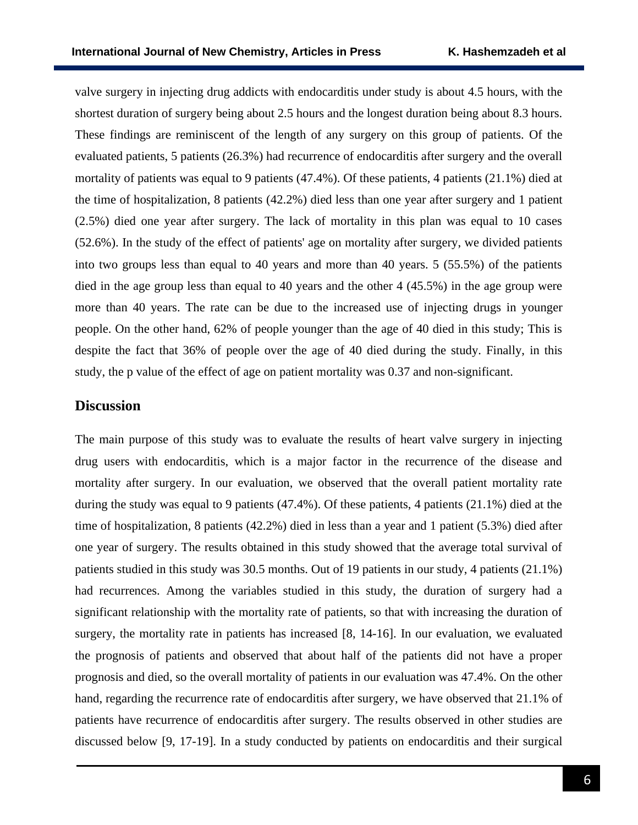valve surgery in injecting drug addicts with endocarditis under study is about 4.5 hours, with the shortest duration of surgery being about 2.5 hours and the longest duration being about 8.3 hours. These findings are reminiscent of the length of any surgery on this group of patients. Of the evaluated patients, 5 patients (26.3%) had recurrence of endocarditis after surgery and the overall mortality of patients was equal to 9 patients (47.4%). Of these patients, 4 patients (21.1%) died at the time of hospitalization, 8 patients (42.2%) died less than one year after surgery and 1 patient (2.5%) died one year after surgery. The lack of mortality in this plan was equal to 10 cases (52.6%). In the study of the effect of patients' age on mortality after surgery, we divided patients into two groups less than equal to 40 years and more than 40 years. 5 (55.5%) of the patients died in the age group less than equal to 40 years and the other 4 (45.5%) in the age group were more than 40 years. The rate can be due to the increased use of injecting drugs in younger people. On the other hand, 62% of people younger than the age of 40 died in this study; This is despite the fact that 36% of people over the age of 40 died during the study. Finally, in this study, the p value of the effect of age on patient mortality was 0.37 and non-significant.

## **Discussion**

The main purpose of this study was to evaluate the results of heart valve surgery in injecting drug users with endocarditis, which is a major factor in the recurrence of the disease and mortality after surgery. In our evaluation, we observed that the overall patient mortality rate during the study was equal to 9 patients (47.4%). Of these patients, 4 patients (21.1%) died at the time of hospitalization, 8 patients (42.2%) died in less than a year and 1 patient (5.3%) died after one year of surgery. The results obtained in this study showed that the average total survival of patients studied in this study was 30.5 months. Out of 19 patients in our study, 4 patients (21.1%) had recurrences. Among the variables studied in this study, the duration of surgery had a significant relationship with the mortality rate of patients, so that with increasing the duration of surgery, the mortality rate in patients has increased [8, 14-16]. In our evaluation, we evaluated the prognosis of patients and observed that about half of the patients did not have a proper prognosis and died, so the overall mortality of patients in our evaluation was 47.4%. On the other hand, regarding the recurrence rate of endocarditis after surgery, we have observed that 21.1% of patients have recurrence of endocarditis after surgery. The results observed in other studies are discussed below [9, 17-19]. In a study conducted by patients on endocarditis and their surgical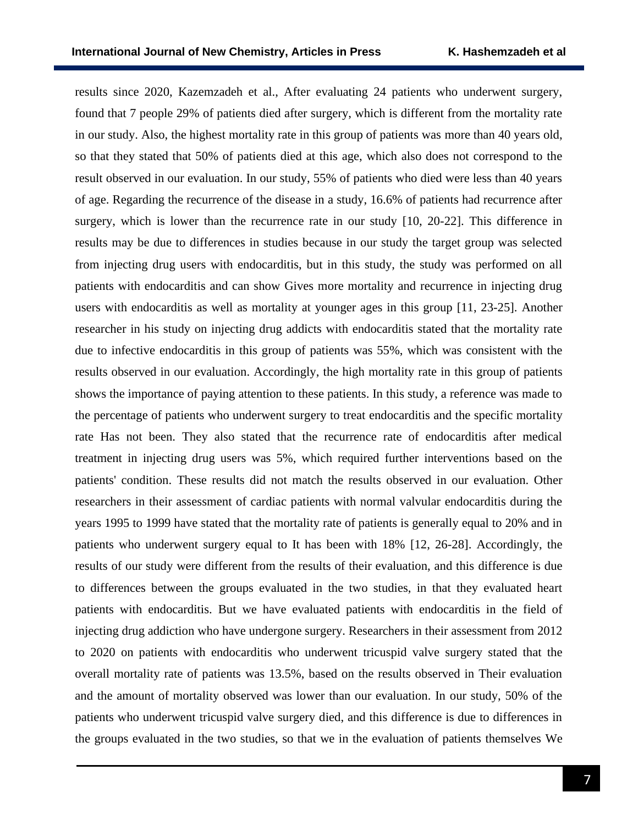results since 2020, Kazemzadeh et al., After evaluating 24 patients who underwent surgery, found that 7 people 29% of patients died after surgery, which is different from the mortality rate in our study. Also, the highest mortality rate in this group of patients was more than 40 years old, so that they stated that 50% of patients died at this age, which also does not correspond to the result observed in our evaluation. In our study, 55% of patients who died were less than 40 years of age. Regarding the recurrence of the disease in a study, 16.6% of patients had recurrence after surgery, which is lower than the recurrence rate in our study [10, 20-22]. This difference in results may be due to differences in studies because in our study the target group was selected from injecting drug users with endocarditis, but in this study, the study was performed on all patients with endocarditis and can show Gives more mortality and recurrence in injecting drug users with endocarditis as well as mortality at younger ages in this group [11, 23-25]. Another researcher in his study on injecting drug addicts with endocarditis stated that the mortality rate due to infective endocarditis in this group of patients was 55%, which was consistent with the results observed in our evaluation. Accordingly, the high mortality rate in this group of patients shows the importance of paying attention to these patients. In this study, a reference was made to the percentage of patients who underwent surgery to treat endocarditis and the specific mortality rate Has not been. They also stated that the recurrence rate of endocarditis after medical treatment in injecting drug users was 5%, which required further interventions based on the patients' condition. These results did not match the results observed in our evaluation. Other researchers in their assessment of cardiac patients with normal valvular endocarditis during the years 1995 to 1999 have stated that the mortality rate of patients is generally equal to 20% and in patients who underwent surgery equal to It has been with 18% [12, 26-28]. Accordingly, the results of our study were different from the results of their evaluation, and this difference is due to differences between the groups evaluated in the two studies, in that they evaluated heart patients with endocarditis. But we have evaluated patients with endocarditis in the field of injecting drug addiction who have undergone surgery. Researchers in their assessment from 2012 to 2020 on patients with endocarditis who underwent tricuspid valve surgery stated that the overall mortality rate of patients was 13.5%, based on the results observed in Their evaluation and the amount of mortality observed was lower than our evaluation. In our study, 50% of the patients who underwent tricuspid valve surgery died, and this difference is due to differences in the groups evaluated in the two studies, so that we in the evaluation of patients themselves We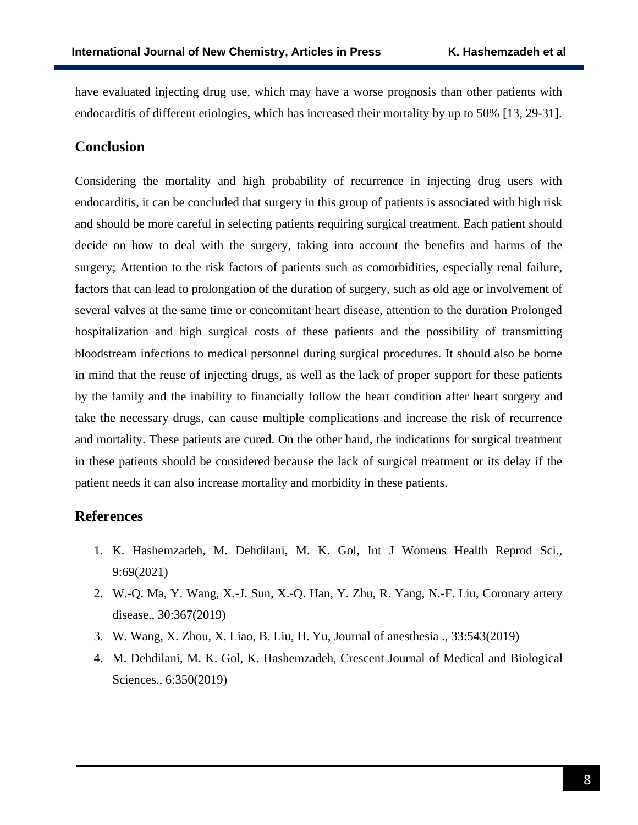have evaluated injecting drug use, which may have a worse prognosis than other patients with endocarditis of different etiologies, which has increased their mortality by up to 50% [13, 29-31].

# **Conclusion**

Considering the mortality and high probability of recurrence in injecting drug users with endocarditis, it can be concluded that surgery in this group of patients is associated with high risk and should be more careful in selecting patients requiring surgical treatment. Each patient should decide on how to deal with the surgery, taking into account the benefits and harms of the surgery; Attention to the risk factors of patients such as comorbidities, especially renal failure, factors that can lead to prolongation of the duration of surgery, such as old age or involvement of several valves at the same time or concomitant heart disease, attention to the duration Prolonged hospitalization and high surgical costs of these patients and the possibility of transmitting bloodstream infections to medical personnel during surgical procedures. It should also be borne in mind that the reuse of injecting drugs, as well as the lack of proper support for these patients by the family and the inability to financially follow the heart condition after heart surgery and take the necessary drugs, can cause multiple complications and increase the risk of recurrence and mortality. These patients are cured. On the other hand, the indications for surgical treatment in these patients should be considered because the lack of surgical treatment or its delay if the patient needs it can also increase mortality and morbidity in these patients.

# **References**

- 1. K. Hashemzadeh, M. Dehdilani, M. K. Gol, Int J Womens Health Reprod Sci., 9:69(2021)
- 2. W.-Q. Ma, Y. Wang, X.-J. Sun, X.-Q. Han, Y. Zhu, R. Yang, N.-F. Liu, Coronary artery disease., 30:367(2019)
- 3. W. Wang, X. Zhou, X. Liao, B. Liu, H. Yu, Journal of anesthesia ., 33:543(2019)
- 4. M. Dehdilani, M. K. Gol, K. Hashemzadeh, Crescent Journal of Medical and Biological Sciences., 6:350(2019)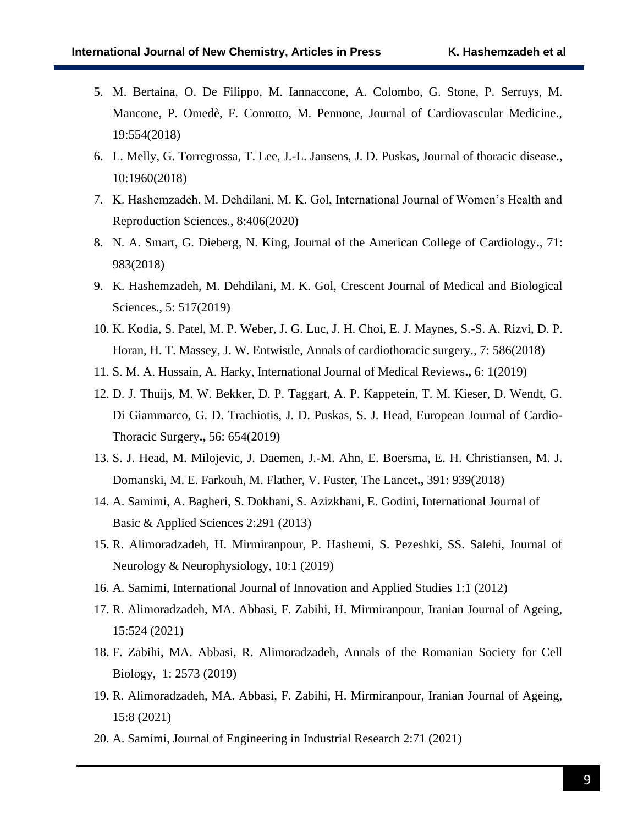- 5. M. Bertaina, O. De Filippo, M. Iannaccone, A. Colombo, G. Stone, P. Serruys, M. Mancone, P. Omedè, F. Conrotto, M. Pennone, Journal of Cardiovascular Medicine., 19:554(2018)
- 6. L. Melly, G. Torregrossa, T. Lee, J.-L. Jansens, J. D. Puskas, Journal of thoracic disease., 10:1960(2018)
- 7. K. Hashemzadeh, M. Dehdilani, M. K. Gol, International Journal of Women's Health and Reproduction Sciences., 8:406(2020)
- 8. N. A. Smart, G. Dieberg, N. King, Journal of the American College of Cardiology**.**, 71: 983(2018)
- 9. K. Hashemzadeh, M. Dehdilani, M. K. Gol, Crescent Journal of Medical and Biological Sciences., 5: 517(2019)
- 10. K. Kodia, S. Patel, M. P. Weber, J. G. Luc, J. H. Choi, E. J. Maynes, S.-S. A. Rizvi, D. P. Horan, H. T. Massey, J. W. Entwistle, Annals of cardiothoracic surgery., 7: 586(2018)
- 11. S. M. A. Hussain, A. Harky, International Journal of Medical Reviews**.,** 6: 1(2019)
- 12. D. J. Thuijs, M. W. Bekker, D. P. Taggart, A. P. Kappetein, T. M. Kieser, D. Wendt, G. Di Giammarco, G. D. Trachiotis, J. D. Puskas, S. J. Head, European Journal of Cardio-Thoracic Surgery**.,** 56: 654(2019)
- 13. S. J. Head, M. Milojevic, J. Daemen, J.-M. Ahn, E. Boersma, E. H. Christiansen, M. J. Domanski, M. E. Farkouh, M. Flather, V. Fuster, The Lancet**.,** 391: 939(2018)
- 14. A. Samimi, A. Bagheri, S. Dokhani, S. Azizkhani, E. Godini, International Journal of Basic & Applied Sciences 2:291 (2013)
- 15. R. Alimoradzadeh, H. Mirmiranpour, P. Hashemi, S. Pezeshki, SS. Salehi, Journal of Neurology & Neurophysiology, 10:1 (2019)
- 16. A. Samimi, International Journal of Innovation and Applied Studies 1:1 (2012)
- 17. R. Alimoradzadeh, MA. Abbasi, F. Zabihi, H. Mirmiranpour, Iranian Journal of Ageing, 15:524 (2021)
- 18. F. Zabihi, MA. Abbasi, R. Alimoradzadeh, Annals of the Romanian Society for Cell Biology, 1: 2573 (2019)
- 19. R. Alimoradzadeh, MA. Abbasi, F. Zabihi, H. Mirmiranpour, Iranian Journal of Ageing, 15:8 (2021)
- 20. A. Samimi, Journal of Engineering in Industrial Research 2:71 (2021)